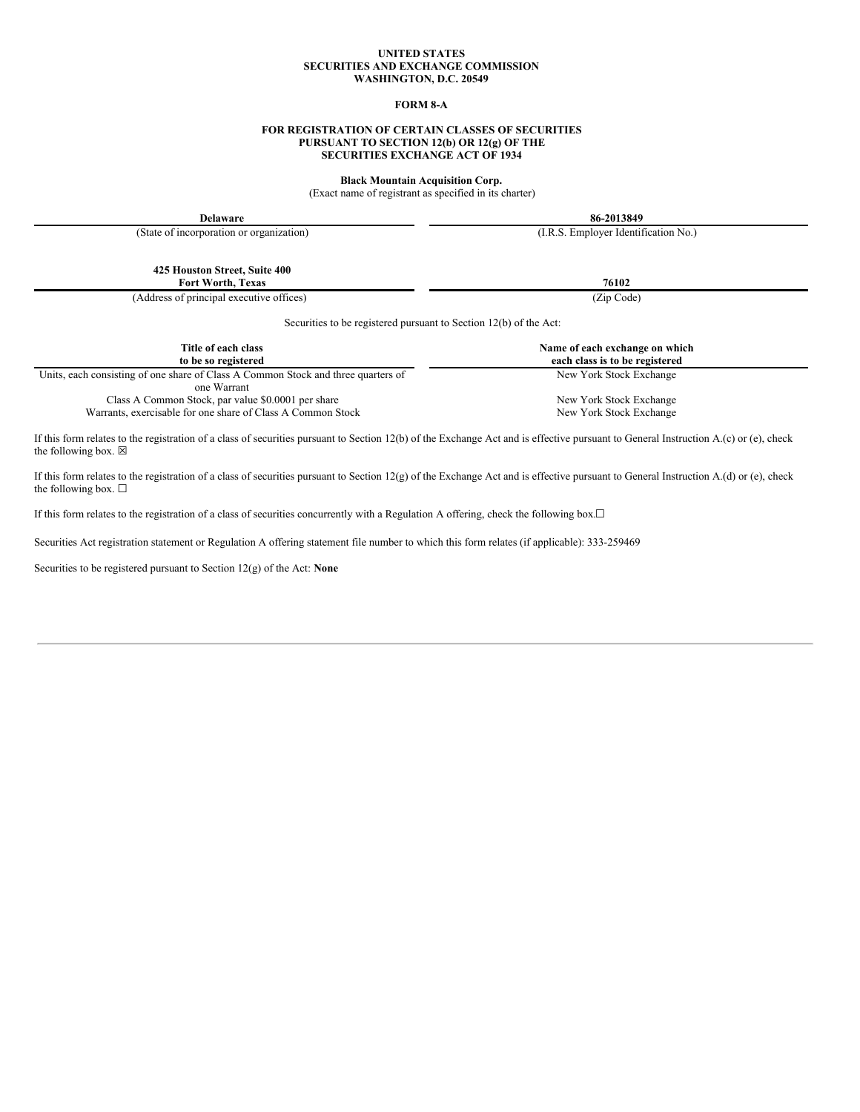### **UNITED STATES SECURITIES AND EXCHANGE COMMISSION WASHINGTON, D.C. 20549**

# **FORM 8-A**

## **FOR REGISTRATION OF CERTAIN CLASSES OF SECURITIES PURSUANT TO SECTION 12(b) OR 12(g) OF THE SECURITIES EXCHANGE ACT OF 1934**

**Black Mountain Acquisition Corp.**

(Exact name of registrant as specified in its charter)

| <b>Delaware</b>                                                                                  | 86-2013849                           |
|--------------------------------------------------------------------------------------------------|--------------------------------------|
| (State of incorporation or organization)                                                         | (I.R.S. Employer Identification No.) |
| 425 Houston Street, Suite 400<br><b>Fort Worth, Texas</b>                                        | 76102                                |
| (Address of principal executive offices)                                                         | (Zip Code)                           |
| Securities to be registered pursuant to Section 12(b) of the Act:<br>Title of each class         | Name of each exchange on which       |
| to be so registered                                                                              | each class is to be registered       |
| Units, each consisting of one share of Class A Common Stock and three quarters of<br>one Warrant | New York Stock Exchange              |
| Class A Common Stock, par value \$0.0001 per share                                               | New York Stock Exchange              |
| Warrants, exercisable for one share of Class A Common Stock                                      | New York Stock Exchange              |

If this form relates to the registration of a class of securities pursuant to Section 12(b) of the Exchange Act and is effective pursuant to General Instruction A.(c) or (e), check the following box.  $\boxtimes$ 

If this form relates to the registration of a class of securities pursuant to Section 12(g) of the Exchange Act and is effective pursuant to General Instruction A.(d) or (e), check the following box.  $\square$ 

If this form relates to the registration of a class of securities concurrently with a Regulation A offering, check the following box.☐

Securities Act registration statement or Regulation A offering statement file number to which this form relates (if applicable): 333-259469

Securities to be registered pursuant to Section 12(g) of the Act: **None**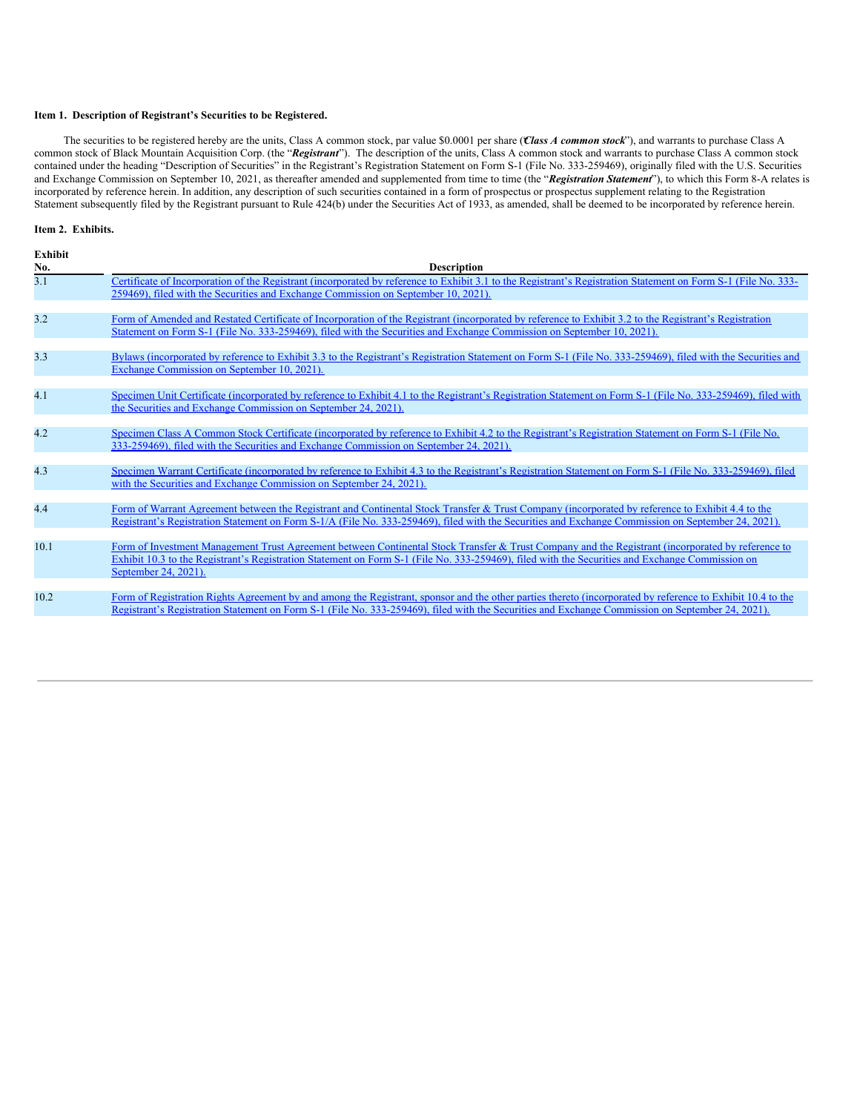# **Item 1. Description of Registrant's Securities to be Registered.**

The securities to be registered hereby are the units, Class A common stock, par value \$0.0001 per share ("*Class A common stock*"), and warrants to purchase Class A common stock of Black Mountain Acquisition Corp. (the "*Registrant*"). The description of the units, Class A common stock and warrants to purchase Class A common stock contained under the heading "Description of Securities" in the Registrant's Registration Statement on Form S-1 (File No. 333-259469), originally filed with the U.S. Securities and Exchange Commission on September 10, 2021, as thereafter amended and supplemented from time to time (the "*Registration Statement*"), to which this Form 8-A relates is incorporated by reference herein. In addition, any description of such securities contained in a form of prospectus or prospectus supplement relating to the Registration Statement subsequently filed by the Registrant pursuant to Rule 424(b) under the Securities Act of 1933, as amended, shall be deemed to be incorporated by reference herein.

#### **Item 2. Exhibits.**

| <b>Exhibit</b><br>No. | <b>Description</b>                                                                                                                                                                                                                                                                                                           |
|-----------------------|------------------------------------------------------------------------------------------------------------------------------------------------------------------------------------------------------------------------------------------------------------------------------------------------------------------------------|
| 3.1                   | Certificate of Incorporation of the Registrant (incorporated by reference to Exhibit 3.1 to the Registrant's Registration Statement on Form S-1 (File No. 333-<br>259469), filed with the Securities and Exchange Commission on September 10, 2021).                                                                         |
| 3.2                   | Form of Amended and Restated Certificate of Incorporation of the Registrant (incorporated by reference to Exhibit 3.2 to the Registrant's Registration<br>Statement on Form S-1 (File No. 333-259469), filed with the Securities and Exchange Commission on September 10, 2021).                                             |
| 3.3                   | Bylaws (incorporated by reference to Exhibit 3.3 to the Registrant's Registration Statement on Form S-1 (File No. 333-259469), filed with the Securities and<br>Exchange Commission on September 10, 2021).                                                                                                                  |
| 4.1                   | Specimen Unit Certificate (incorporated by reference to Exhibit 4.1 to the Registrant's Registration Statement on Form S-1 (File No. 333-259469), filed with<br>the Securities and Exchange Commission on September 24, 2021).                                                                                               |
| 4.2                   | Specimen Class A Common Stock Certificate (incorporated by reference to Exhibit 4.2 to the Registrant's Registration Statement on Form S-1 (File No.<br>333-259469), filed with the Securities and Exchange Commission on September 24, 2021).                                                                               |
| 4.3                   | Specimen Warrant Certificate (incorporated by reference to Exhibit 4.3 to the Registrant's Registration Statement on Form S-1 (File No. 333-259469), filed<br>with the Securities and Exchange Commission on September 24, 2021).                                                                                            |
| 4.4                   | Form of Warrant Agreement between the Registrant and Continental Stock Transfer & Trust Company (incorporated by reference to Exhibit 4.4 to the<br>Registrant's Registration Statement on Form S-1/A (File No. 333-259469), filed with the Securities and Exchange Commission on September 24, 2021).                       |
| 10.1                  | Form of Investment Management Trust Agreement between Continental Stock Transfer & Trust Company and the Registrant (incorporated by reference to<br>Exhibit 10.3 to the Registrant's Registration Statement on Form S-1 (File No. 333-259469), filed with the Securities and Exchange Commission on<br>September 24, 2021). |
| 10.2                  | Form of Registration Rights Agreement by and among the Registrant, sponsor and the other parties thereto (incorporated by reference to Exhibit 10.4 to the<br>Registrant's Registration Statement on Form S-1 (File No. 333-259469), filed with the Securities and Exchange Commission on September 24, 2021).               |
|                       |                                                                                                                                                                                                                                                                                                                              |